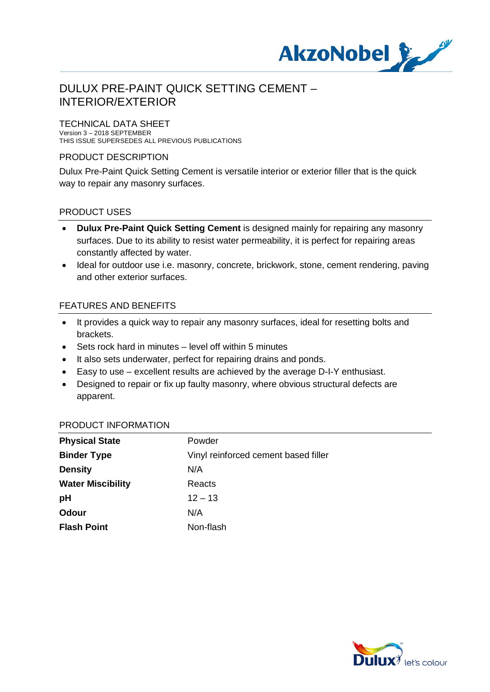

# DULUX PRE-PAINT QUICK SETTING CEMENT – INTERIOR/EXTERIOR

TECHNICAL DATA SHEET

Version 3 – 2018 SEPTEMBER THIS ISSUE SUPERSEDES ALL PREVIOUS PUBLICATIONS

## PRODUCT DESCRIPTION

Dulux Pre-Paint Quick Setting Cement is versatile interior or exterior filler that is the quick way to repair any masonry surfaces.

### PRODUCT USES

- · **Dulux Pre-Paint Quick Setting Cement** is designed mainly for repairing any masonry surfaces. Due to its ability to resist water permeability, it is perfect for repairing areas constantly affected by water.
- · Ideal for outdoor use i.e. masonry, concrete, brickwork, stone, cement rendering, paving and other exterior surfaces.

## FEATURES AND BENEFITS

- · It provides a quick way to repair any masonry surfaces, ideal for resetting bolts and brackets.
- · Sets rock hard in minutes level off within 5 minutes
- It also sets underwater, perfect for repairing drains and ponds.
- · Easy to use excellent results are achieved by the average D-I-Y enthusiast.
- · Designed to repair or fix up faulty masonry, where obvious structural defects are apparent.

#### PRODUCT INFORMATION

| <b>Physical State</b>    | Powder                               |
|--------------------------|--------------------------------------|
| <b>Binder Type</b>       | Vinyl reinforced cement based filler |
| <b>Density</b>           | N/A                                  |
| <b>Water Miscibility</b> | Reacts                               |
| pH                       | $12 - 13$                            |
| Odour                    | N/A                                  |
| <b>Flash Point</b>       | Non-flash                            |

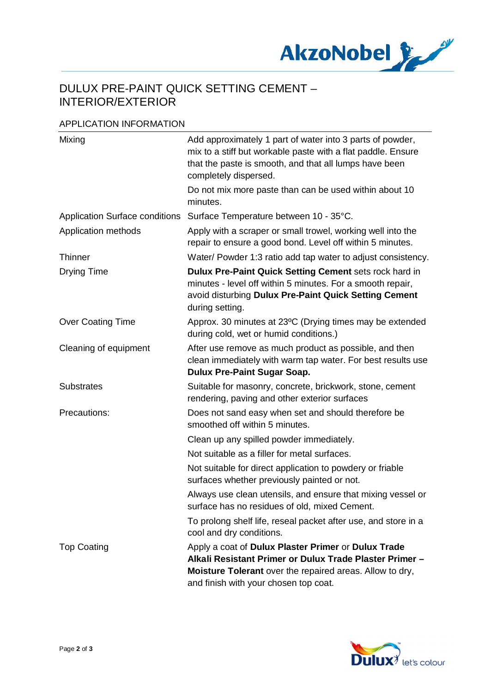

# DULUX PRE-PAINT QUICK SETTING CEMENT – INTERIOR/EXTERIOR

### APPLICATION INFORMATION

| Mixing                                | Add approximately 1 part of water into 3 parts of powder,<br>mix to a stiff but workable paste with a flat paddle. Ensure<br>that the paste is smooth, and that all lumps have been<br>completely dispersed.        |
|---------------------------------------|---------------------------------------------------------------------------------------------------------------------------------------------------------------------------------------------------------------------|
|                                       | Do not mix more paste than can be used within about 10<br>minutes.                                                                                                                                                  |
| <b>Application Surface conditions</b> | Surface Temperature between 10 - 35°C.                                                                                                                                                                              |
| Application methods                   | Apply with a scraper or small trowel, working well into the<br>repair to ensure a good bond. Level off within 5 minutes.                                                                                            |
| <b>Thinner</b>                        | Water/ Powder 1:3 ratio add tap water to adjust consistency.                                                                                                                                                        |
| <b>Drying Time</b>                    | Dulux Pre-Paint Quick Setting Cement sets rock hard in<br>minutes - level off within 5 minutes. For a smooth repair,<br>avoid disturbing Dulux Pre-Paint Quick Setting Cement<br>during setting.                    |
| <b>Over Coating Time</b>              | Approx. 30 minutes at 23°C (Drying times may be extended<br>during cold, wet or humid conditions.)                                                                                                                  |
| Cleaning of equipment                 | After use remove as much product as possible, and then<br>clean immediately with warm tap water. For best results use<br><b>Dulux Pre-Paint Sugar Soap.</b>                                                         |
| <b>Substrates</b>                     | Suitable for masonry, concrete, brickwork, stone, cement<br>rendering, paving and other exterior surfaces                                                                                                           |
| Precautions:                          | Does not sand easy when set and should therefore be<br>smoothed off within 5 minutes.                                                                                                                               |
|                                       | Clean up any spilled powder immediately.                                                                                                                                                                            |
|                                       | Not suitable as a filler for metal surfaces.                                                                                                                                                                        |
|                                       | Not suitable for direct application to powdery or friable<br>surfaces whether previously painted or not.                                                                                                            |
|                                       | Always use clean utensils, and ensure that mixing vessel or<br>surface has no residues of old, mixed Cement.                                                                                                        |
|                                       | To prolong shelf life, reseal packet after use, and store in a<br>cool and dry conditions.                                                                                                                          |
| <b>Top Coating</b>                    | Apply a coat of Dulux Plaster Primer or Dulux Trade<br>Alkali Resistant Primer or Dulux Trade Plaster Primer -<br>Moisture Tolerant over the repaired areas. Allow to dry,<br>and finish with your chosen top coat. |